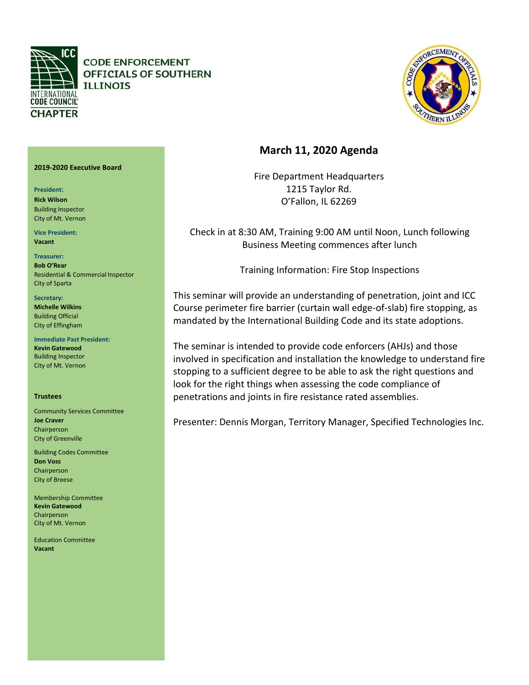

**CODE ENFORCEMENT** OFFICIALS OF SOUTHERN **ILLINOIS** 



# **March 11, 2020 Agenda**

Fire Department Headquarters 1215 Taylor Rd. O'Fallon, IL 62269

Check in at 8:30 AM, Training 9:00 AM until Noon, Lunch following Business Meeting commences after lunch

Training Information: Fire Stop Inspections

This seminar will provide an understanding of penetration, joint and ICC Course perimeter fire barrier (curtain wall edge-of-slab) fire stopping, as mandated by the International Building Code and its state adoptions.

The seminar is intended to provide code enforcers (AHJs) and those involved in specification and installation the knowledge to understand fire stopping to a sufficient degree to be able to ask the right questions and look for the right things when assessing the code compliance of penetrations and joints in fire resistance rated assemblies.

Presenter: Dennis Morgan, Territory Manager, Specified Technologies Inc.

## **2019-2020 Executive Board**

**President:** 

**Rick Wilson** Building Inspector City of Mt. Vernon

**Vice President: Vacant**

**Treasurer: Bob O'Rear** Residential & Commercial Inspector City of Sparta

**Secretary: Michelle Wilkins**  Building Official City of Effingham

**Immediate Past President: Kevin Gatewood**  Building Inspector City of Mt. Vernon

## **Trustees**

Community Services Committee **Joe Craver** Chairperson City of Greenville

Building Codes Committee **Don Voss** Chairperson City of Breese

Membership Committee **Kevin Gatewood** Chairperson City of Mt. Vernon

Education Committee **Vacant**